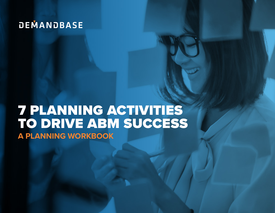# **DEMANDBASE**

# 7 PLANNING ACTIVITIES TO DRIVE ABM SUCCESS **A PLANNING WORKBOOK**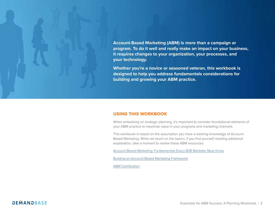**Account-Based Marketing (ABM) is more than a campaign or program. To do it well and really make an impact on your business, it requires changes to your organization, your processes, and your technology.** 

**Whether you're a novice or seasoned veteran, this workbook is designed to help you address fundamentals considerations for building and growing your ABM practice.**

# USING THIS WORKBOOK

When embarking on strategic planning, it's important to consider foundational elements of your ABM practice to maximize value in your programs and marketing channels.

This workbook is based on the assumption you have a working knowledge of Account-Based Marketing. While we touch on the basics, if you find yourself needing additional explanation, take a moment to review these ABM resources:

Account-Based Marketing: Fundamentals Every B2B Marketer Must Know

Building an Account-Based Marketing Framework

ABM Certification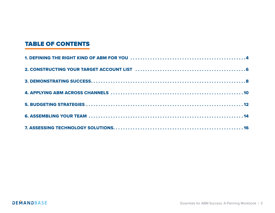# TABLE OF CONTENTS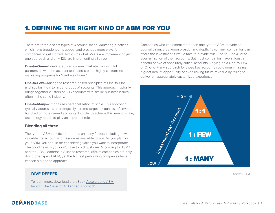# 1. DEFINING THE RIGHT KIND OF ABM FOR YOU

There are three distinct types of Account-Based Marketing practices which have broadened its appeal and provided more ways for companies to get started. Two-thirds of ABM-ers are implementing just one approach and only 12% are implementing all three.

**One-to-One—**A dedicated, senior-level marketer works in full partnership with the account team and creates highly customized marketing programs for "markets of one."

**One-to-Few—**Taking the research-based principles of One-to-One and applies them to larger groups of accounts. This approach typically brings together clusters of 5-15 accounts with similar business issues, often in the same industry.

**One-to-Many—**Emphasizes personalization at scale. This approach typically addresses a strategically curated target account list of several hundred or more named accounts. In order to achieve this level of scale, technology needs to play an important role.

### **Blending all three**

The type of ABM practiced depends on many factors including how valuable the account is or resources available to you. As you plan for your ABM, you should be considering which you want to incorporate. The good news is you don't have to pick just one. According to ITSMA and the ABM Leadership Alliance research, 65% of companies are only doing one type of ABM, yet the highest performing companies have chosen a blended approach.

# **DIVE DEEPER**

To learn more, download the eBook Accelerating ABM Impact: The Case for A Blended Approach.

Companies who implement more than one type of ABM provide an optimal balance between breadth and depth. Few, if any, companies can afford the investment it would take to provide true One-to-One ABM to even a fraction of their accounts. But most companies have at least a handful or two of absolutely critical accounts. Relying on a One-to-Few or One-to-Many approach for those key accounts could mean missing a great deal of opportunity or even risking future revenue by failing to deliver an appropriately customized experience.



*Source: ITSMA*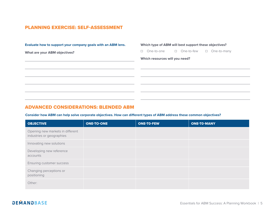# PLANNING EXERCISE: SELF-ASSESSMENT

| Evaluate how to support your company goals with an ABM lens. | Which type of ABM will best support these objectives?      |  |  |
|--------------------------------------------------------------|------------------------------------------------------------|--|--|
| <b>What are your ABM objectives?</b>                         | □ One-to-few<br>$\Box$ One-to-many<br>One-to-one<br>$\Box$ |  |  |
|                                                              | Which resources will you need?                             |  |  |
|                                                              |                                                            |  |  |
|                                                              |                                                            |  |  |
|                                                              |                                                            |  |  |
|                                                              |                                                            |  |  |
|                                                              |                                                            |  |  |
|                                                              |                                                            |  |  |

# ADVANCED CONSIDERATIONS: BLENDED ABM

**Consider how ABM can help solve corporate objectives. How can different types of ABM address these common objectives?** 

| <b>OBJECTIVE</b>                                              | <b>ONE-TO-ONE</b> | <b>ONE-TO-FEW</b> | <b>ONE-TO-MANY</b> |
|---------------------------------------------------------------|-------------------|-------------------|--------------------|
| Opening new markets in different<br>industries or geographies |                   |                   |                    |
| Innovating new solutions                                      |                   |                   |                    |
| Developing new reference<br>accounts                          |                   |                   |                    |
| Ensuring customer success                                     |                   |                   |                    |
| Changing perceptions or<br>positioning                        |                   |                   |                    |
| Other:                                                        |                   |                   |                    |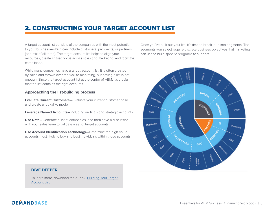# 2. CONSTRUCTING YOUR TARGET ACCOUNT LIST

A target account list consists of the companies with the most potential to your business—which can include customers, prospects, or partners (or a mix of all three). The target account list helps to align your resources, create shared focus across sales and marketing, and facilitate compliance.

While many companies have a target account list, it is often created by sales and thrown over the wall to marketing, but having a list is not enough. Since the target account list at the center of ABM, it's crucial that the list contains the right accounts.

## **Approaching the list-building process**

**Evaluate Current Customers—**Evaluate your current customer base and create a lookalike model

**Leverage Named Accounts—**Including verticals and strategic accounts

**Use Data—**Generate a list of companies, and then have a discussion with your sales team to validate a set of target accounts

**Use Account Identification Technology—**Determine the high-value accounts most likely to buy and best individuals within those accounts

Once you've built out your list, it's time to break it up into segments. The segments you select require discrete business objectives that marketing can use to build specific programs to support.



#### **DIVE DEEPER**

To learn more, download the eBook, Building Your Target Account List.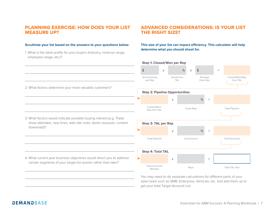# PLANNING EXERCISE: HOW DOES YOUR LIST MEASURE UP?

#### **Scrutinize your list based on the answers to your questions below.**

1. What is the ideal profile for your buyers (industry, revenue range, employee range, etc.)?

# ADVANCED CONSIDERATIONS: IS YOUR LIST THE RIGHT SIZE?

**This size of your list can impact efficiency. This calculator will help determine what you should shoot for.**

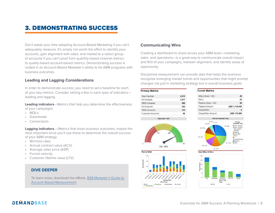# 3. DEMONSTRATING SUCCESS

Don't waste your time adopting Account-Based Marketing if you can't adequately measure. It's simply not worth the effort to identify your accounts, gain alignment with sales, and market to a select group of accounts if you can't pivot from quantity-based channel metrics to quality-based account-based metrics. Demonstrating success is rooted in an Account-Based Marketer's ability to tie ABM programs with business outcomes.

## **Leading and Lagging Considerations**

In order to demonstrate success, you need to set a baseline for each of your key metrics. Consider setting a few in each type of indicators leading and lagging.

**Leading indicators**—Metrics that help you determine the effectiveness of your campaigns.

- MQLs
- Downloads
- Conversions

**Lagging indicators** —Metrics that show business outcomes; maybe the most important since you'll use these to determine the overall success of your ABM strategy.

- Win/loss rates
- Annual contract value (ACV)
- Average sales price (ASP)
- Funnel velocity
- Customer lifetime value (LTV)

### **DIVE DEEPER**

To learn more, download the eBook, B2B Marketer's Guide to Account-Based Measurement.

### **Communicating Wins**

Creating a dashboard to share across your ABM team—marketing, sales, and operations—is a great way to communicate overall impact and ROI of your campaigns, maintain alignment, and identify areas of opportunity.

Disciplined measurement can provide data that helps the business recognize emerging market trends and opportunities that might prompt changes not just in marketing strategy but in overall business goals.

135

68



#### **Funnel Metrics**  $MQLs$  (Goal = 40): 48 SAL<sub>S</sub>: 43 Pipeline (Goal = 34): 28 Pipeline Amount: USD 1,718,400 Closed/Won: **USD 174,900** Closed/Won Amount:



**Customer Accounts** 









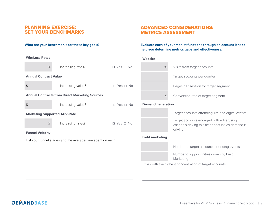# PLANNING EXERCISE: SET YOUR BENCHMARKS

#### **What are your benchmarks for these key goals?**

| <b>Win/Loss Rates</b>               |                                                             |                            | Websit       |
|-------------------------------------|-------------------------------------------------------------|----------------------------|--------------|
| %                                   | Increasing rates?                                           | $\square$ Yes $\square$ No |              |
| <b>Annual Contract Value</b>        |                                                             |                            |              |
| $\frac{1}{2}$                       | Increasing value?                                           | $\Box$ Yes $\Box$ No       |              |
|                                     | <b>Annual Contracts from Direct Marketing Sources</b>       |                            |              |
| $\frac{1}{2}$                       | Increasing value?                                           | $\Box$ Yes $\Box$ No       | <b>Demar</b> |
| <b>Marketing Supported ACV-Rate</b> |                                                             |                            |              |
| %                                   | Increasing rates?                                           | $\Box$ Yes $\Box$ No       |              |
| <b>Funnel Velocity</b>              |                                                             |                            | Field n      |
|                                     | List your funnel stages and the average time spent on each: |                            |              |
|                                     |                                                             |                            |              |
|                                     |                                                             |                            |              |
|                                     |                                                             |                            | Cities v     |
|                                     |                                                             |                            |              |
|                                     |                                                             |                            |              |

# ADVANCED CONSIDERATIONS: METRICS ASSESSMENT

### **Evaluate each of your market functions through an account lens to help you determine metrics gaps and effectiveness.**

#### **Website**



### **Field marketing**



Number of target accounts attending events

Number of opportunities driven by Field Marketing

with the highest concentration of target accounts:

driving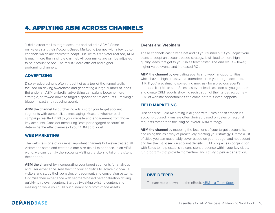# 4. APPLYING ABM ACROSS CHANNELS

"I did a direct mail to target accounts and called it ABM." Some marketers start their Account-Based Marketing journey with a few go-to channels which are easiest to adapt. But like this marketer realized, ABM is much more than a single channel. All your marketing can be adjusted to be account-based. The result? More efficient and higher performing channels.

## **ADVERTISING**

Display advertising is often thought of as a top-of-the-funnel tactic, focused on driving awareness and generating a large number of leads. But under an ABM umbrella, advertising campaigns become more strategic, narrowed down to target a specific set of accounts – making a bigger impact and reducing spend.

**ABM the channel** by purchasing ads just for your target account segments with personalized messaging. Measure whether each campaign resulted in lift to your website and engagement from those key accounts. Consider measuring "cost per engaged account" to determine the effectiveness of your ABM ad budget.

#### **WEB MARKETING**

The website is one of our most important channels but we've treated all visitors the same and created a one-size-fits-all experience. In an ABM world, we can identify the accounts visiting the site and tailor the site to their needs.

**ABM the channel** by incorporating your target segments for analytics and user experience. Add them to your analytics to isolate high-value visitors and study their behavior, engagement, and conversion patterns. Optimize their experience with segment-based personalization driving quickly to relevant content. Start by tweaking existing content and messaging while you build out a library of custom-made assets.

### **Events and Webinars**

These channels cast a wide net and fill your funnel but if you adjust your plans to adopt an account-based strategy, it will lead to more highquality leads that get to your sales team faster. The end result – fewer, higher-value events and increased ROI.

**ABM the channel** by evaluating events and webinar opportunities which have a high crossover of attendees from your target accounts. (TIP: If you're evaluating something new, ask for a previous event's attendee list.) Make sure Sales has event leads as soon as you get them and create CRM reports showing registration of their target accounts – 30% of webinar opportunities can come before it even happens!

# **FIELD MARKETING**

Just because Field Marketing is aligned with Sales doesn't mean it's account-focused. Plans are often derived based on Sales or regional requests rather than focusing on overall ABM strategy.

**ABM the channel** by mapping the locations of your target account list and using this as a way of proactively creating your strategy. Create a list of cities you can reasonably cover based on your budget and headcount and tier the list based on account density. Build programs in conjunction with Sales to help establish a consistent presence within your key cities, run programs that provide momentum, and satisfy pipeline generation.

## **DIVE DEEPER**

To learn more, download the eBook, ABM is a Team Sport.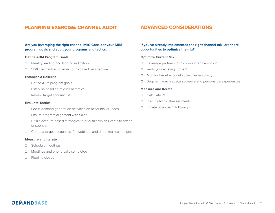# PLANNING EXERCISE: CHANNEL AUDIT

### **Are you leveraging the right channel mix? Consider your ABM program goals and audit your programs and tactics.**

#### **Define ABM Program Goals**

- ☐ Identify leading and lagging indicators
- ☐ Shift the mindset to an Account-based perspective

#### **Establish a Baseline**

- ☐ Define ABM program goals
- ☐ Establish baseline of current tactics
- ☐ Review target account list

#### **Evaluate Tactics**

- ☐ Focus demand generation activities on accounts vs. leads
- ☐ Ensure program alignment with Sales
- ☐ Utilize account-based strategies to prioritize which Events to attend or sponsor
- ☐ Create a target account list for webinars and direct mail campaigns

#### **Measure and Iterate**

- ☐ Schedule meetings
- ☐ Meetings and phone calls completed
- ☐ Pipeline closed

# ADVANCED CONSIDERATIONS

### **If you've already implemented the right channel mix, are there opportunities to optimize the mix?**

#### **Optimize Current Mix**

- ☐ Leverage partners for a coordinated campaign
- ☐ Audit your existing content
- ☐ Monitor target account social media activity
- ☐ Segment your website audience and personalize experiences

### **Measure and Iterate**

- ☐ Calculate ROI
- □ Identify high-value segments
- ☐ Initiate Sales team follow-ups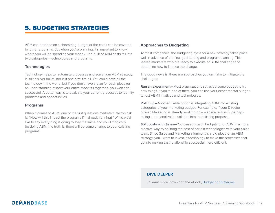# 5. BUDGETING STRATEGIES

ABM can be done on a shoestring budget or the costs can be covered by other programs. But when you're planning, it's important to know where you will be spending your money. The bulk of ABM costs fall into two categories—technologies and programs.

### **Technologies**

Technology helps to automate processes and scale your ABM strategy. It isn't a silver bullet, nor is it one-size-fits-all. You could have all the technology in the world, but if you don't have a plan for each piece (or an understanding of how your entire stack fits together), you won't be successful. A better way is to evaluate your current processes to identify problems and opportunities.

### **Programs**

When it comes to ABM, one of the first questions marketers always ask is: "How will this impact the programs I'm already running?" While we'd like to say everything is going to stay the same and you'll magically be doing ABM, the truth is, there will be some change to your existing programs.

# **Approaches to Budgeting**

At most companies, the budgeting cycle for a new strategy takes place well in advance of the final goal setting and program planning. This leaves marketers who are ready to execute on ABM challenged to determine how to finance the change.

The good news is, there are approaches you can take to mitigate the challenges:

**Run an experiment**—Most organizations set aside some budget to try new things. If you're one of them, you can use your experimental budget to test ABM initiatives and technologies.

**Roll it up—**Another viable option is integrating ABM into existing categories of your marketing budget. For example, if your Director of Web Marketing is already working on a website relaunch, perhaps rolling a personalization solution into the existing proposal.

**Split costs with Sales**—You can approach budgeting for ABM in a more creative way by splitting the cost of certain technologies with your Sales team. Since Sales and Marketing alignment is a big piece of an ABM strategy, you'll want to invest in technology to make the processes that go into making that relationship successful more efficient.

## **DIVE DEEPER**

To learn more, download the eBook, Budgeting Strategies.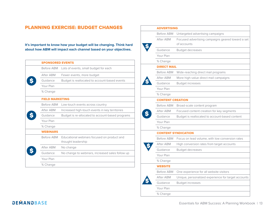# PLANNING EXERCISE: BUDGET CHANGES

**It's important to know how your budget will be changing. Think hard about how ABM will impact each channel based on your objectives.** 

| <b>SPONSORED EVENTS</b> |                                                                   |  |  |
|-------------------------|-------------------------------------------------------------------|--|--|
| Before ABM              | Lots of events, small budget for each                             |  |  |
| After ARM               | Fewer events, more budget                                         |  |  |
| Guidance                | Budget is reallocated to account-based events                     |  |  |
| Your Plan               |                                                                   |  |  |
| % Change                |                                                                   |  |  |
| <b>FIELD MARKETING</b>  |                                                                   |  |  |
| Before ABM              | Low-touch events across country                                   |  |  |
| After ARM               | Increased high-touch events in key territories                    |  |  |
| Guidance                | Budget is re-allocated to account-based programs                  |  |  |
| Your Plan               |                                                                   |  |  |
| % Change                |                                                                   |  |  |
| <b>WEBINARS</b>         |                                                                   |  |  |
| <b>Before ABM</b>       | Educational webinars focused on product and<br>thought leadership |  |  |
| After ABM               | No change                                                         |  |  |
| Guidance                | No change to webinars, increased sales follow up                  |  |  |
| Your Plan               |                                                                   |  |  |
| % Change                |                                                                   |  |  |
|                         |                                                                   |  |  |

| <b>ADVERTISING</b>      |                                                                  |  |  |
|-------------------------|------------------------------------------------------------------|--|--|
| Before ABM              | Untargeted advertising campaigns                                 |  |  |
| After ABM               | Focused advertising campaigns geared toward a set<br>of accounts |  |  |
| Guidance                | Budget decreases                                                 |  |  |
| Your Plan               |                                                                  |  |  |
| % Change                |                                                                  |  |  |
| <b>DIRECT MAIL</b>      |                                                                  |  |  |
| <b>Before ABM</b>       | Wide-reaching direct mail programs                               |  |  |
| After ABM               | More high-value direct mail campaigns                            |  |  |
| Guidance                | Budget increases                                                 |  |  |
| Your Plan               |                                                                  |  |  |
| % Change                |                                                                  |  |  |
| <b>CONTENT CREATION</b> |                                                                  |  |  |
| Before ABM              | Broad-scale content program                                      |  |  |
| After ABM               | Focused content creation for key segments                        |  |  |
| Guidance                | Budget is reallocated to account-based content                   |  |  |
| Your Plan               |                                                                  |  |  |
| % Change                |                                                                  |  |  |
|                         | <b>CONTENT SYNDICATION</b>                                       |  |  |
| Before ABM              | Focus on lead volume, with low conversion rates                  |  |  |
| After ABM               | High conversion rates from target accounts                       |  |  |
| Guidance                | <b>Budget decreases</b>                                          |  |  |
| Your Plan               |                                                                  |  |  |
| % Change                |                                                                  |  |  |
| <b>WEBSITE</b>          |                                                                  |  |  |
| <b>Before ABM</b>       | One experience for all website visitors                          |  |  |
| After ABM               | Unique, personalized experience for target accounts              |  |  |
| Guidance                | Budget increases                                                 |  |  |
| Your Plan               |                                                                  |  |  |
| % Change                |                                                                  |  |  |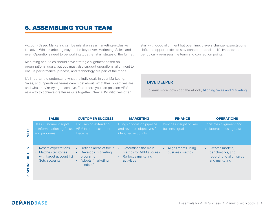# 6. ASSEMBLING YOUR TEAM

Account-Based Marketing can be mistaken as a marketing-exclusive initiative. While marketing may be the key driver, Marketing, Sales, and even Operations need to be working together at all stages of the funnel.

Marketing and Sales should have strategic alignment based on organizational goals, but you must also support operational alignment to ensure performance, process, and technology are part of the model.

It's important to understand what the individuals in your Marketing, Sales, and Operations teams care most about. What their objectives are and what they're trying to achieve. From there you can position ABM as a way to achieve greater results together. New ABM initiatives often

start with good alignment but over time, players change, expectations shift, and opportunities to stay connected decline. It's important to periodically re-assess the team and connection points.

### **DIVE DEEPER**

To learn more, download the eBook, Aligning Sales and Marketing.

|                                    | <b>SALES</b>                                                                            | <b>CUSTOMER SUCCESS</b>                                                                   | <b>MARKETING</b>                                                                   | <b>FINANCE</b>                            | <b>OPERATIONS</b>                                                                            |
|------------------------------------|-----------------------------------------------------------------------------------------|-------------------------------------------------------------------------------------------|------------------------------------------------------------------------------------|-------------------------------------------|----------------------------------------------------------------------------------------------|
| <b>ROLES</b>                       | Uses customer insights<br>to inform marketing focus<br>and programs                     | Focuses on extending<br>ABM into the customer<br>lifecycle                                | Brings a focus on pipeline<br>and revenue objectives for<br>identified accounts    | Provides insight on key<br>business goals | Facilitates alignment and<br>collaboration using data                                        |
| <b>ONSIBILITIES</b><br><b>RESP</b> | Resets expectations<br>Matches territories<br>with target account list<br>Sets accounts | Defines areas of focus<br>Develops marketing<br>programs<br>Adopts "marketing<br>mindset" | Determines the main<br>metrics for ABM success<br>Re-focus marketing<br>activities | Aligns teams using<br>business metrics    | Creates models.<br>$\bullet$<br>benchmarks, and<br>reporting to align sales<br>and marketing |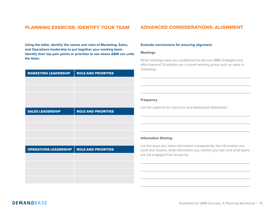# PLANNING EXERCISE: IDENTIFY YOUR TEAM

**Using the table, identify the names and roles of Marketing, Sales, and Operations leadership to put together your working team. Identify their top pain points or priorities to see where ABM can unite the team.** 

| <b>MARKETING LEADERSHIP</b>  | <b>ROLE AND PRIORITIES</b> |
|------------------------------|----------------------------|
|                              |                            |
|                              |                            |
|                              |                            |
|                              |                            |
| <b>SALES LEADERSHIP</b>      | <b>ROLE AND PRIORITIES</b> |
|                              |                            |
|                              |                            |
|                              |                            |
|                              |                            |
| <b>OPERATIONS LEADERSHIP</b> | <b>ROLE AND PRIORITIES</b> |
|                              |                            |
|                              |                            |
|                              |                            |
|                              |                            |

# ADVANCED CONSIDERATIONS: ALIGNMENT

#### **Evaluate mechanisms for ensuring alignment.**

#### **Meetings**

What meetings have you established to discuss ABM strategies and effectiveness? Examples are a funnel working group such as sales or marketing.

#### **Frequency**

List the cadence for check-ins and dashboard distribution

## **Information Sharing**

List the ways you share information transparently, the information you send and receive, what information you wished you had, and what teams are not engaged that should be.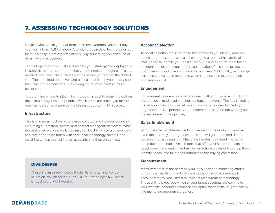# 7. ASSESSING TECHNOLOGY SOLUTIONS

Despite what you might hear from some tech vendors, you can't buy your way into an ABM strategy. And with thousands of technologies out there, it's easy to get overwhelmed or buy something you can't use or doesn't work as desired.

Technology decisions must be driven by your strategy and deployed to fix specific issues. It's important that you determine the right use cases, needed resources, and success metrics before you sign on the dotted line. Those defined objectives and use cases will help you quickly see the value and demonstrate ROI making future investments a much easier sell.

To determine where to plug in technology, it's best to break the options down into categories and prioritize which areas are proving to be the most cumbersome or provide the biggest opportunity for success.

#### **Infrastructure**

This is one area most marketers have covered and includes your CRM, marketing automation system, and content management system. While the basics are working well, they may still be driving contact-level data and may need to be tuned with additional technology such as lead matching to help you act first on accounts and then on contacts.

### **DIVE DEEPER**

These are just a few. To see the full list of criteria of vendor selection, download the eBook, ABM Technology: A Guide to Choosing the Right Vendor.

## **Account Selection**

Account selection tools are those that enable to you identify and rank best fit target accounts at scale. Leveraging a tool that has artificial intelligence to identify your best fit accounts and prioritize them based on intent can expand your addressable market of accounts far beyond just those who look like your current customers. Additionally, technology can save you valuable resources when it comes time to update and optimize your list.

### **Engagement**

Engagement tools enable you to connect with your target accounts and include social media, advertising, content, and events. The key is finding the technologies which will allow you to control your audience to your target account list, personalize the experience, and find out where your audiences are in their journey.

## **Sales Enablement**

Without a sales enablement solution, more and more of your leads even those from your target account lists—will go untouched. That's because the sales reps don't have the insights they need in order to reach out to the lead. Invest in tools that offer your sales team contact development and enrichment as well as actionable insights to help them identify, reach, and tailor their outreach to the buying committee.

### **Measurement**

Measurement is at the heart of ABM. If you can't tie marketing efforts to business results or pivot from lead, session, and click metrics to account-metrics, you'll need to invest in measurement technology. These will help you see which of your target accounts are coming to your website, conduct account-based optimization tests, or get visibility into marketing program attribution.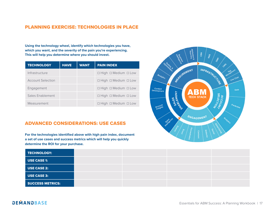# PLANNING EXERCISE: TECHNOLOGIES IN PLACE

**Using the technology wheel, identify which technologies you have, which you want, and the severity of the pain you're experiencing. This will help you determine where you should invest.**

| <b>TECHNOLOGY</b>        | <b>HAVE</b> | <b>WANT</b> | <b>PAIN INDEX</b>                    |
|--------------------------|-------------|-------------|--------------------------------------|
| Infrastructure           |             |             | $\Box$ High $\Box$ Medium $\Box$ Low |
| <b>Account Selection</b> |             |             | $\Box$ High $\Box$ Medium $\Box$ Low |
| Engagement               |             |             | $\Box$ High $\Box$ Medium $\Box$ Low |
| Sales Enablement         |             |             | $\Box$ High $\Box$ Medium $\Box$ Low |
| Measurement              |             |             | $\Box$ High $\Box$ Medium $\Box$ Low |

# ADVANCED CONSIDERATIONS: USE CASES

**For the technologies identified above with high pain index, document a set of use cases and success metrics which will help you quickly determine the ROI for your purchase.**



| TECHNOLOGY:             |  |  |
|-------------------------|--|--|
| <b>USE CASE 1:</b>      |  |  |
| <b>USE CASE 2:</b>      |  |  |
| <b>USE CASE 3:</b>      |  |  |
| <b>SUCCESS METRICS:</b> |  |  |